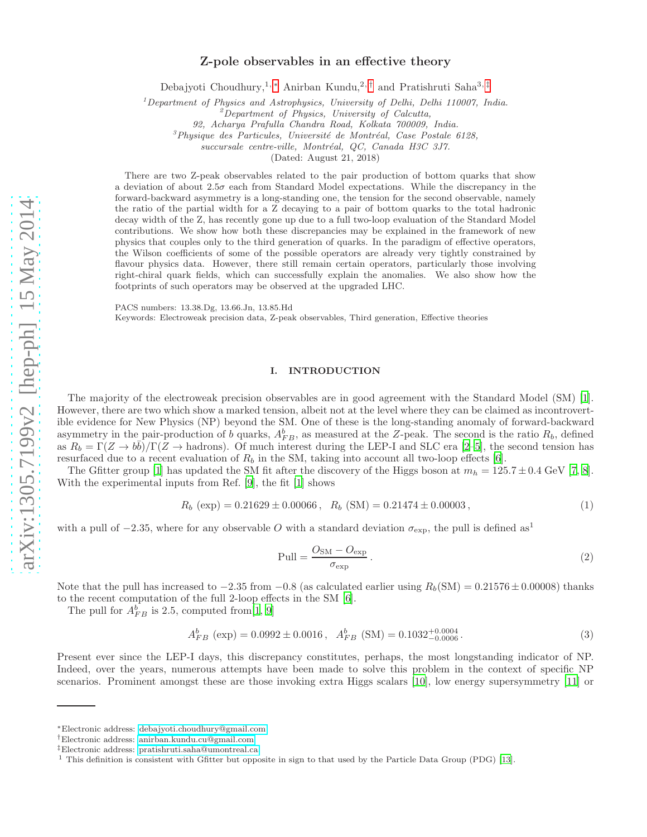## Z-pole observables in an effective theory

Debajyoti Choudhury,<sup>1, [∗](#page-0-0)</sup> Anirban Kundu,<sup>2,[†](#page-0-1)</sup> and Pratishruti Saha<sup>3,[‡](#page-0-2)</sup>

 $1$ Department of Physics and Astrophysics, University of Delhi, Delhi 110007, India.

 ${}^{2}$ Department of Physics, University of Calcutta,

92, Acharya Prafulla Chandra Road, Kolkata 700009, India.

 ${}^{3}$ Physique des Particules, Université de Montréal, Case Postale 6128,

succursale centre-ville, Montréal, QC, Canada H3C 3J7.

(Dated: August 21, 2018)

There are two Z-peak observables related to the pair production of bottom quarks that show a deviation of about  $2.5\sigma$  each from Standard Model expectations. While the discrepancy in the forward-backward asymmetry is a long-standing one, the tension for the second observable, namely the ratio of the partial width for a Z decaying to a pair of bottom quarks to the total hadronic decay width of the Z, has recently gone up due to a full two-loop evaluation of the Standard Model contributions. We show how both these discrepancies may be explained in the framework of new physics that couples only to the third generation of quarks. In the paradigm of effective operators, the Wilson coefficients of some of the possible operators are already very tightly constrained by flavour physics data. However, there still remain certain operators, particularly those involving right-chiral quark fields, which can successfully explain the anomalies. We also show how the footprints of such operators may be observed at the upgraded LHC.

PACS numbers: 13.38.Dg, 13.66.Jn, 13.85.Hd

Keywords: Electroweak precision data, Z-peak observables, Third generation, Effective theories

## <span id="page-0-3"></span>I. INTRODUCTION

The majority of the electroweak precision observables are in good agreement with the Standard Model (SM) [\[1\]](#page-9-0). However, there are two which show a marked tension, albeit not at the level where they can be claimed as incontrovertible evidence for New Physics (NP) beyond the SM. One of these is the long-standing anomaly of forward-backward asymmetry in the pair-production of b quarks,  $A_{FB}^b$ , as measured at the Z-peak. The second is the ratio  $R_b$ , defined as  $R_b = \Gamma(Z \to b\bar{b})/\Gamma(Z \to \text{hadrons})$ . Of much interest during the LEP-I and SLC era [\[2](#page-9-1)[–5\]](#page-10-0), the second tension has resurfaced due to a recent evaluation of  $R_b$  in the SM, taking into account all two-loop effects [\[6](#page-10-1)].

The Gfitter group [\[1](#page-9-0)] has updated the SM fit after the discovery of the Higgs boson at  $m_h = 125.7 \pm 0.4$  GeV [\[7,](#page-10-2) [8\]](#page-10-3). With the experimental inputs from Ref. [\[9](#page-10-4)], the fit [\[1\]](#page-9-0) shows

$$
R_b \text{ (exp)} = 0.21629 \pm 0.00066 \,, \ \ R_b \text{ (SM)} = 0.21474 \pm 0.00003 \,, \tag{1}
$$

with a pull of  $-2.35$ , where for any observable O with a standard deviation  $\sigma_{\exp}$ , the pull is defined as<sup>1</sup>

$$
Pull = \frac{O_{SM} - O_{exp}}{\sigma_{exp}}.
$$
\n(2)

Note that the pull has increased to  $-2.35$  from  $-0.8$  (as calculated earlier using  $R_b(SM) = 0.21576 \pm 0.00008$ ) thanks to the recent computation of the full 2-loop effects in the SM [\[6\]](#page-10-1).

The pull for  $A_{FB}^b$  is 2.5, computed from [\[1](#page-9-0), [9](#page-10-4)]

$$
A_{FB}^{b} \text{ (exp)} = 0.0992 \pm 0.0016 \,, \quad A_{FB}^{b} \text{ (SM)} = 0.1032_{-0.0006}^{+0.0004} \,. \tag{3}
$$

Present ever since the LEP-I days, this discrepancy constitutes, perhaps, the most longstanding indicator of NP. Indeed, over the years, numerous attempts have been made to solve this problem in the context of specific NP scenarios. Prominent amongst these are those invoking extra Higgs scalars [\[10\]](#page-10-5), low energy supersymmetry [\[11\]](#page-10-6) or

<span id="page-0-0"></span><sup>∗</sup>Electronic address: [debajyoti.choudhury@gmail.com](mailto:debajyoti.choudhury@gmail.com)

<span id="page-0-1"></span><sup>†</sup>Electronic address: [anirban.kundu.cu@gmail.com](mailto:anirban.kundu.cu@gmail.com)

<span id="page-0-2"></span><sup>‡</sup>Electronic address: [pratishruti.saha@umontreal.ca](mailto:pratishruti.saha@umontreal.ca)

<sup>&</sup>lt;sup>1</sup> This definition is consistent with Gfitter but opposite in sign to that used by the Particle Data Group (PDG) [\[13](#page-10-7)].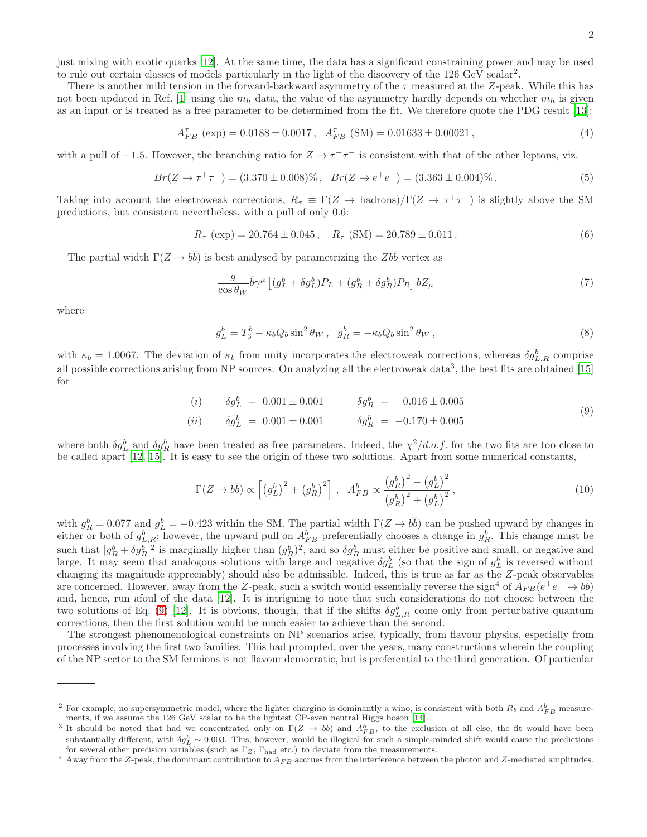just mixing with exotic quarks [\[12\]](#page-10-8). At the same time, the data has a significant constraining power and may be used to rule out certain classes of models particularly in the light of the discovery of the  $126 \text{ GeV}$  scalar<sup>2</sup>.

There is another mild tension in the forward-backward asymmetry of the  $\tau$  measured at the Z-peak. While this has not been updated in Ref. [\[1\]](#page-9-0) using the  $m_h$  data, the value of the asymmetry hardly depends on whether  $m_h$  is given as an input or is treated as a free parameter to be determined from the fit. We therefore quote the PDG result [\[13](#page-10-7)]:

$$
A_{FB}^{\tau} \text{ (exp)} = 0.0188 \pm 0.0017 \,, \quad A_{FB}^{\tau} \text{ (SM)} = 0.01633 \pm 0.00021 \,, \tag{4}
$$

with a pull of  $-1.5$ . However, the branching ratio for  $Z \to \tau^+\tau^-$  is consistent with that of the other leptons, viz.

$$
Br(Z \to \tau^+ \tau^-) = (3.370 \pm 0.008)\%, \quad Br(Z \to e^+ e^-) = (3.363 \pm 0.004)\% \,. \tag{5}
$$

Taking into account the electroweak corrections,  $R_{\tau} \equiv \Gamma(Z \to \text{hadrons})/\Gamma(Z \to \tau^+\tau^-)$  is slightly above the SM predictions, but consistent nevertheless, with a pull of only 0.6:

$$
R_{\tau} \text{ (exp)} = 20.764 \pm 0.045 \,, \quad R_{\tau} \text{ (SM)} = 20.789 \pm 0.011 \,. \tag{6}
$$

The partial width  $\Gamma(Z \to b\bar{b})$  is best analysed by parametrizing the  $Zb\bar{b}$  vertex as

$$
\frac{g}{\cos\theta_W} \bar{b}\gamma^\mu \left[ (g_L^b + \delta g_L^b) P_L + (g_R^b + \delta g_R^b) P_R \right] bZ_\mu \tag{7}
$$

where

$$
g_L^b = T_3^b - \kappa_b Q_b \sin^2 \theta_W, \quad g_R^b = -\kappa_b Q_b \sin^2 \theta_W,
$$
\n
$$
(8)
$$

with  $\kappa_b = 1.0067$ . The deviation of  $\kappa_b$  from unity incorporates the electroweak corrections, whereas  $\delta g_{L,R}^b$  comprise all possible corrections arising from NP sources. On analyzing all the electroweak data<sup>3</sup>, the best fits are obtained [\[15](#page-10-9)] for

<span id="page-1-0"></span>(i) 
$$
\delta g_L^b = 0.001 \pm 0.001
$$
  $\delta g_R^b = 0.016 \pm 0.005$   
(ii)  $\delta g_L^b = 0.001 \pm 0.001$   $\delta g_R^b = -0.170 \pm 0.005$  (9)

where both  $\delta g_L^b$  and  $\delta g_R^b$  have been treated as free parameters. Indeed, the  $\chi^2/d.o.f$  for the two fits are too close to be called apart [\[12](#page-10-8), [15](#page-10-9)]. It is easy to see the origin of these two solutions. Apart from some numerical constants,

$$
\Gamma(Z \to b\bar{b}) \propto \left[ \left( g_L^b \right)^2 + \left( g_R^b \right)^2 \right], \quad A_{FB}^b \propto \frac{\left( g_R^b \right)^2 - \left( g_L^b \right)^2}{\left( g_R^b \right)^2 + \left( g_L^b \right)^2},\tag{10}
$$

with  $g_R^b = 0.077$  and  $g_L^b = -0.423$  within the SM. The partial width  $\Gamma(Z \to b\bar{b})$  can be pushed upward by changes in either or both of  $g_{L,R}^b$ ; however, the upward pull on  $A_{FB}^b$  preferentially chooses a change in  $g_R^b$ . This change must be such that  $|g_R^b + \delta g_R^b|^2$  is marginally higher than  $(g_R^b)^2$ , and so  $\delta g_R^b$  must either be positive and small, or negative and large. It may seem that analogous solutions with large and negative  $\delta g_L^b$  (so that the sign of  $g_L^b$  is reversed without changing its magnitude appreciably) should also be admissible. Indeed, this is true as far as the Z-peak observables are concerned. However, away from the Z-peak, such a switch would essentially reverse the sign<sup>4</sup> of  $A_{FB}(e^+e^- \to b\bar{b})$ and, hence, run afoul of the data [\[12\]](#page-10-8). It is intriguing to note that such considerations do not choose between the two solutions of Eq. [\(9\)](#page-1-0) [\[12](#page-10-8)]. It is obvious, though, that if the shifts  $\delta g_{L,R}^b$  come only from perturbative quantum corrections, then the first solution would be much easier to achieve than the second.

The strongest phenomenological constraints on NP scenarios arise, typically, from flavour physics, especially from processes involving the first two families. This had prompted, over the years, many constructions wherein the coupling of the NP sector to the SM fermions is not flavour democratic, but is preferential to the third generation. Of particular

<sup>&</sup>lt;sup>2</sup> For example, no supersymmetric model, where the lighter chargino is dominantly a wino, is consistent with both  $R_b$  and  $A_{FB}^b$  measurements, if we assume the 126 GeV scalar to be the lightest CP-even neutral Higgs boson [\[14\]](#page-10-10).

<sup>&</sup>lt;sup>3</sup> It should be noted that had we concentrated only on  $\Gamma(Z \to b\bar{b})$  and  $A_{FB}^b$ , to the exclusion of all else, the fit would have been substantially different, with  $\delta g_L^b \sim 0.003$ . This, however, would be illogical for such a simple-minded shift would cause the predictions for several other precision variables (such as  $\Gamma_Z$ ,  $\Gamma_{\text{had}}$  etc.) to deviate from the measurements.

 $4$  Away from the Z-peak, the domimant contribution to  $A_{FB}$  accrues from the interference between the photon and Z-mediated amplitudes.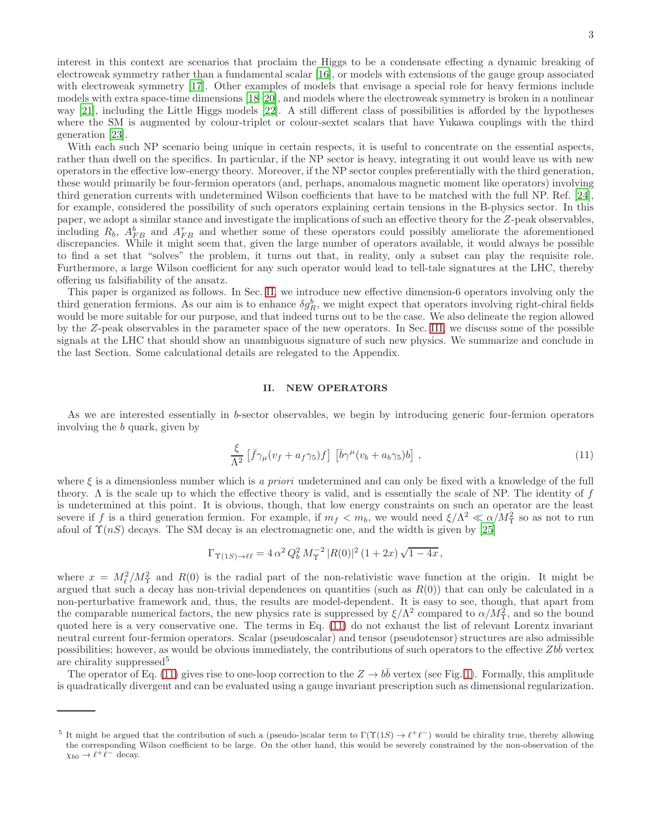interest in this context are scenarios that proclaim the Higgs to be a condensate effecting a dynamic breaking of electroweak symmetry rather than a fundamental scalar [\[16](#page-10-11)], or models with extensions of the gauge group associated with electroweak symmetry [\[17](#page-10-12)]. Other examples of models that envisage a special role for heavy fermions include models with extra space-time dimensions [\[18](#page-10-13)[–20](#page-10-14)], and models where the electroweak symmetry is broken in a nonlinear way [\[21\]](#page-10-15), including the Little Higgs models [\[22\]](#page-10-16). A still different class of possibilities is afforded by the hypotheses where the SM is augmented by colour-triplet or colour-sextet scalars that have Yukawa couplings with the third generation [\[23\]](#page-10-17).

With each such NP scenario being unique in certain respects, it is useful to concentrate on the essential aspects, rather than dwell on the specifics. In particular, if the NP sector is heavy, integrating it out would leave us with new operators in the effective low-energy theory. Moreover, if the NP sector couples preferentially with the third generation, these would primarily be four-fermion operators (and, perhaps, anomalous magnetic moment like operators) involving third generation currents with undetermined Wilson coefficients that have to be matched with the full NP. Ref. [\[24\]](#page-10-18), for example, considered the possibility of such operators explaining certain tensions in the B-physics sector. In this paper, we adopt a similar stance and investigate the implications of such an effective theory for the Z-peak observables, including  $R_b$ ,  $A_{FB}^b$  and  $A_{FB}^{\tau}$  and whether some of these operators could possibly ameliorate the aforementioned discrepancies. While it might seem that, given the large number of operators available, it would always be possible to find a set that "solves" the problem, it turns out that, in reality, only a subset can play the requisite role. Furthermore, a large Wilson coefficient for any such operator would lead to tell-tale signatures at the LHC, thereby offering us falsifiability of the ansatz.

This paper is organized as follows. In Sec. [II,](#page-2-0) we introduce new effective dimension-6 operators involving only the third generation fermions. As our aim is to enhance  $\delta g_R^b$ , we might expect that operators involving right-chiral fields would be more suitable for our purpose, and that indeed turns out to be the case. We also delineate the region allowed by the Z-peak observables in the parameter space of the new operators. In Sec. [III,](#page-5-0) we discuss some of the possible signals at the LHC that should show an unambiguous signature of such new physics. We summarize and conclude in the last Section. Some calculational details are relegated to the Appendix.

## <span id="page-2-0"></span>II. NEW OPERATORS

As we are interested essentially in b-sector observables, we begin by introducing generic four-fermion operators involving the b quark, given by

<span id="page-2-1"></span>
$$
\frac{\xi}{\Lambda^2} \left[ \bar{f} \gamma_\mu (v_f + a_f \gamma_5) f \right] \left[ \bar{b} \gamma^\mu (v_b + a_b \gamma_5) b \right] , \qquad (11)
$$

where  $\xi$  is a dimensionless number which is *a priori* undetermined and can only be fixed with a knowledge of the full theory. Λ is the scale up to which the effective theory is valid, and is essentially the scale of NP. The identity of f is undetermined at this point. It is obvious, though, that low energy constraints on such an operator are the least severe if f is a third generation fermion. For example, if  $m_f < m_b$ , we would need  $\xi/\Lambda^2 \ll \alpha/M_T^2$  so as not to run afoul of  $\Upsilon(nS)$  decays. The SM decay is an electromagnetic one, and the width is given by [\[25\]](#page-10-19)

$$
\Gamma_{\Upsilon(1S) \to \ell \ell} = 4 \, \alpha^2 \, Q_b^2 \, M_\Upsilon^{-2} \, |R(0)|^2 \, (1+2x) \, \sqrt{1-4x} \, ,
$$

where  $x = M_{\ell}^2/M_{\Upsilon}^2$  and  $R(0)$  is the radial part of the non-relativistic wave function at the origin. It might be argued that such a decay has non-trivial dependences on quantities (such as  $R(0)$ ) that can only be calculated in a non-perturbative framework and, thus, the results are model-dependent. It is easy to see, though, that apart from the comparable numerical factors, the new physics rate is suppressed by  $\xi/\Lambda^2$  compared to  $\alpha/M_\Upsilon^2$ , and so the bound quoted here is a very conservative one. The terms in Eq. [\(11\)](#page-2-1) do not exhaust the list of relevant Lorentz invariant neutral current four-fermion operators. Scalar (pseudoscalar) and tensor (pseudotensor) structures are also admissible possibilities; however, as would be obvious immediately, the contributions of such operators to the effective  $Zb\bar{b}$  vertex are chirality suppressed<sup>5</sup>

The operator of Eq. [\(11\)](#page-2-1) gives rise to one-loop correction to the  $Z \to b\bar{b}$  vertex (see Fig. [1\)](#page-3-0). Formally, this amplitude is quadratically divergent and can be evaluated using a gauge invariant prescription such as dimensional regularization.

<sup>&</sup>lt;sup>5</sup> It might be argued that the contribution of such a (pseudo-)scalar term to  $\Gamma(\Upsilon(1S) \to \ell^+ \ell^-)$  would be chirality true, thereby allowing the corresponding Wilson coefficient to be large. On the other hand, this would be severely constrained by the non-observation of the  $\chi_{b0} \to \ell^+ \ell^-$  decay.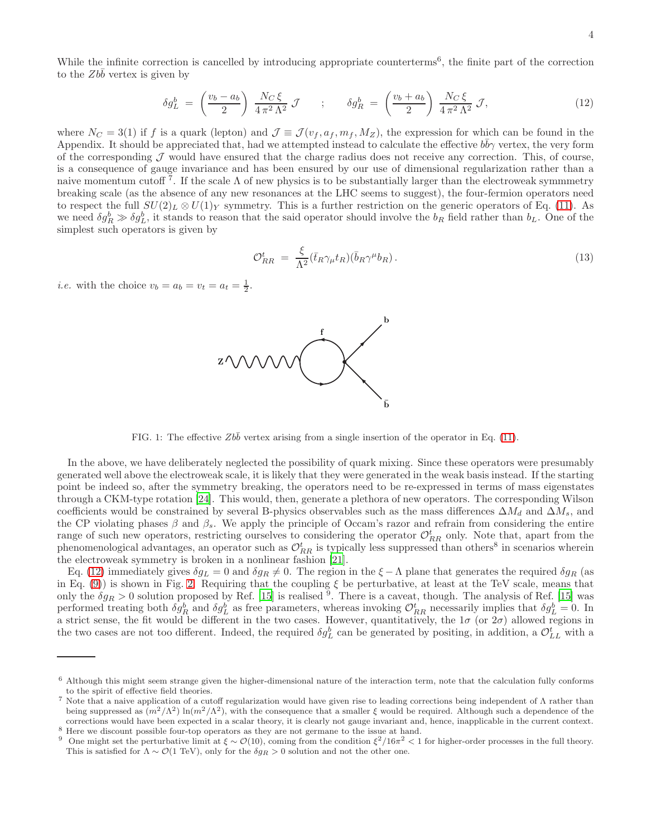While the infinite correction is cancelled by introducing appropriate counterterms<sup>6</sup>, the finite part of the correction to the  $Zb\bar{b}$  vertex is given by

<span id="page-3-1"></span>
$$
\delta g_L^b = \left(\frac{v_b - a_b}{2}\right) \frac{N_C \xi}{4 \pi^2 \Lambda^2} \mathcal{J} \qquad ; \qquad \delta g_R^b = \left(\frac{v_b + a_b}{2}\right) \frac{N_C \xi}{4 \pi^2 \Lambda^2} \mathcal{J}, \tag{12}
$$

where  $N_C = 3(1)$  if f is a quark (lepton) and  $\mathcal{J} \equiv \mathcal{J}(v_f, a_f, m_f, M_Z)$ , the expression for which can be found in the Appendix. It should be appreciated that, had we attempted instead to calculate the effective  $b\bar{b}\gamma$  vertex, the very form of the corresponding  $J$  would have ensured that the charge radius does not receive any correction. This, of course, is a consequence of gauge invariance and has been ensured by our use of dimensional regularization rather than a naive momentum cutoff<sup>7</sup>. If the scale  $\Lambda$  of new physics is to be substantially larger than the electroweak symmmetry breaking scale (as the absence of any new resonances at the LHC seems to suggest), the four-fermion operators need to respect the full  $SU(2)_L \otimes U(1)_Y$  symmetry. This is a further restriction on the generic operators of Eq. [\(11\)](#page-2-1). As we need  $\delta g_R^b \gg \delta g_L^b$ , it stands to reason that the said operator should involve the  $b_R$  field rather than  $b_L$ . One of the simplest such operators is given by

<span id="page-3-2"></span>
$$
\mathcal{O}_{RR}^t = \frac{\xi}{\Lambda^2} (\bar{t}_R \gamma_\mu t_R)(\bar{b}_R \gamma^\mu b_R). \tag{13}
$$

*i.e.* with the choice  $v_b = a_b = v_t = a_t = \frac{1}{2}$ .

<span id="page-3-0"></span>

In the above, we have deliberately neglected the possibility of quark mixing. Since these operators were presumably generated well above the electroweak scale, it is likely that they were generated in the weak basis instead. If the starting point be indeed so, after the symmetry breaking, the operators need to be re-expressed in terms of mass eigenstates through a CKM-type rotation [\[24\]](#page-10-18). This would, then, generate a plethora of new operators. The corresponding Wilson coefficients would be constrained by several B-physics observables such as the mass differences  $\Delta M_d$  and  $\Delta M_s$ , and the CP violating phases  $\beta$  and  $\beta_s$ . We apply the principle of Occam's razor and refrain from considering the entire range of such new operators, restricting ourselves to considering the operator  $\mathcal{O}_{RR}^t$  only. Note that, apart from the phenomenological advantages, an operator such as  $\mathcal{O}_{RR}^t$  is typically less suppressed than others<sup>8</sup> in scenarios wherein the electroweak symmetry is broken in a nonlinear fashion [\[21](#page-10-15)].

Eq. [\(12\)](#page-3-1) immediately gives  $\delta g_L = 0$  and  $\delta g_R \neq 0$ . The region in the  $\xi - \Lambda$  plane that generates the required  $\delta g_R$  (as in Eq. [\(9\)](#page-1-0)) is shown in Fig. [2.](#page-4-0) Requiring that the coupling  $\xi$  be perturbative, at least at the TeV scale, means that only the  $\delta g_R > 0$  solution proposed by Ref. [\[15](#page-10-9)] is realised <sup>9</sup>. There is a caveat, though. The analysis of Ref. [15] was performed treating both  $\delta g_R^b$  and  $\delta g_L^b$  as free parameters, whereas invoking  $\mathcal{O}_{RR}^t$  necessarily implies that  $\delta g_L^b = 0$ . In a strict sense, the fit would be different in the two cases. However, quantitatively, the  $1\sigma$  (or  $2\sigma$ ) allowed regions in the two cases are not too different. Indeed, the required  $\delta g_L^b$  can be generated by positing, in addition, a  $\mathcal{O}_{LL}^t$  with a



 $6$  Although this might seem strange given the higher-dimensional nature of the interaction term, note that the calculation fully conforms to the spirit of effective field theories.

<sup>7</sup> Note that a naive application of a cutoff regularization would have given rise to leading corrections being independent of Λ rather than being suppressed as  $(m^2/\Lambda^2) \ln(m^2/\Lambda^2)$ , with the consequence that a smaller  $\xi$  would be required. Although such a dependence of the corrections would have been expected in a scalar theory, it is clearly not gauge invariant and, hence, inapplicable in the current context.

<sup>8</sup> Here we discount possible four-top operators as they are not germane to the issue at hand.

<sup>&</sup>lt;sup>9</sup> One might set the perturbative limit at  $\xi \sim \mathcal{O}(10)$ , coming from the condition  $\xi^2/16\pi^2 < 1$  for higher-order processes in the full theory. This is satisfied for  $\Lambda \sim \mathcal{O}(1 \text{ TeV})$ , only for the  $\delta g_R > 0$  solution and not the other one.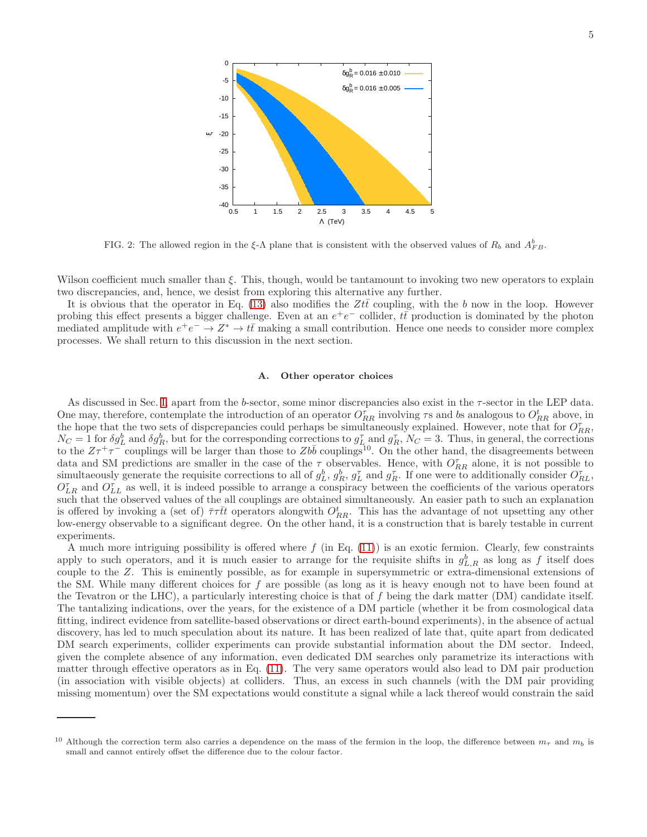

<span id="page-4-0"></span>FIG. 2: The allowed region in the  $\xi$ - $\Lambda$  plane that is consistent with the observed values of  $R_b$  and  $A_{FB}^b$ .

Wilson coefficient much smaller than ξ. This, though, would be tantamount to invoking two new operators to explain two discrepancies, and, hence, we desist from exploring this alternative any further.

It is obvious that the operator in Eq. [\(13\)](#page-3-2) also modifies the  $Zt\bar{t}$  coupling, with the b now in the loop. However probing this effect presents a bigger challenge. Even at an  $e^+e^-$  collider,  $t\bar{t}$  production is dominated by the photon mediated amplitude with  $e^+e^- \to Z^* \to t\bar{t}$  making a small contribution. Hence one needs to consider more complex processes. We shall return to this discussion in the next section.

### A. Other operator choices

As discussed in Sec. [I,](#page-0-3) apart from the b-sector, some minor discrepancies also exist in the τ-sector in the LEP data. One may, therefore, contemplate the introduction of an operator  $O_{RR}^{\tau}$  involving  $\tau$ s and bs analogous to  $O_{RR}^t$  above, in the hope that the two sets of dispcrepancies could perhaps be simultaneously explained. However, note that for  $O_{RR}^{\tau}$ ,  $N_C = 1$  for  $\delta g_L^b$  and  $\delta g_R^b$ , but for the corresponding corrections to  $g_L^{\tau}$  and  $g_R^{\tau}$ ,  $N_C = 3$ . Thus, in general, the corrections to the  $Z\tau^+\tau^-$  couplings will be larger than those to  $Zb\bar{b}$  couplings<sup>10</sup>. On the other hand, the disagreements between data and SM predictions are smaller in the case of the  $\tau$  observables. Hence, with  $O_{RR}^{\tau}$  alone, it is not possible to simultaeously generate the requisite corrections to all of  $g_L^b$ ,  $g_R^b$ ,  $g_L^{\tau}$  and  $g_R^{\tau}$ . If one were to additionally consider  $O_{RL}^{\tau}$ ,  $O_{LR}^{\tau}$  and  $O_{LL}^{\tau}$  as well, it is indeed possible to arrange a conspiracy between the coefficients of the various operators such that the observed values of the all couplings are obtained simultaneously. An easier path to such an explanation is offered by invoking a (set of)  $\bar{\tau}\tau\bar{t}t$  operators alongwith  $O_{RR}^t$ . This has the advantage of not upsetting any other low-energy observable to a significant degree. On the other hand, it is a construction that is barely testable in current experiments.

A much more intriguing possibility is offered where  $f$  (in Eq. [\(11\)](#page-2-1)) is an exotic fermion. Clearly, few constraints apply to such operators, and it is much easier to arrange for the requisite shifts in  $g_{L,R}^b$  as long as f itself does couple to the Z. This is eminently possible, as for example in supersymmetric or extra-dimensional extensions of the SM. While many different choices for  $f$  are possible (as long as it is heavy enough not to have been found at the Tevatron or the LHC), a particularly interesting choice is that of f being the dark matter (DM) candidate itself. The tantalizing indications, over the years, for the existence of a DM particle (whether it be from cosmological data fitting, indirect evidence from satellite-based observations or direct earth-bound experiments), in the absence of actual discovery, has led to much speculation about its nature. It has been realized of late that, quite apart from dedicated DM search experiments, collider experiments can provide substantial information about the DM sector. Indeed, given the complete absence of any information, even dedicated DM searches only parametrize its interactions with matter through effective operators as in Eq. [\(11\)](#page-2-1). The very same operators would also lead to DM pair production (in association with visible objects) at colliders. Thus, an excess in such channels (with the DM pair providing missing momentum) over the SM expectations would constitute a signal while a lack thereof would constrain the said

<sup>&</sup>lt;sup>10</sup> Although the correction term also carries a dependence on the mass of the fermion in the loop, the difference between  $m_{\tau}$  and  $m_b$  is small and cannot entirely offset the difference due to the colour factor.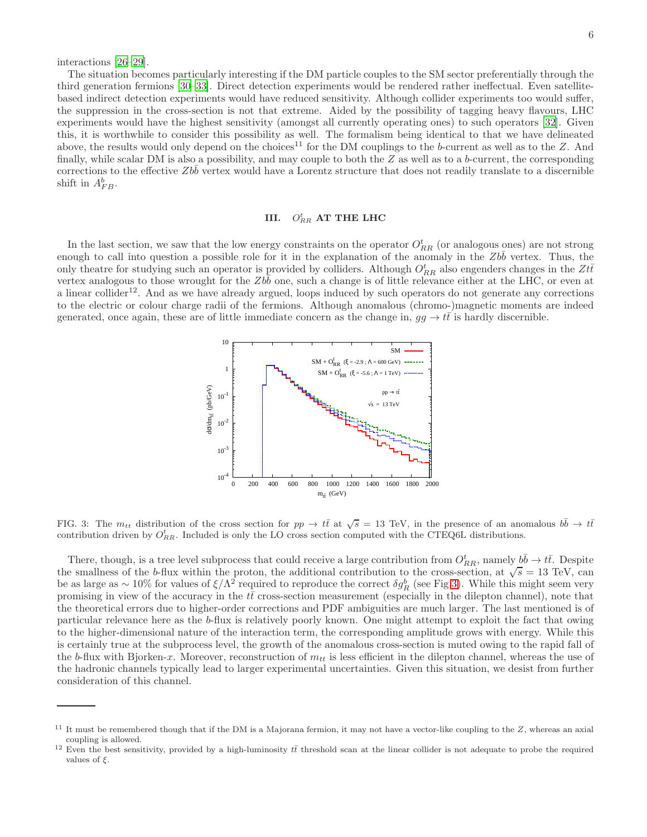interactions [\[26](#page-10-20)[–29\]](#page-10-21).

The situation becomes particularly interesting if the DM particle couples to the SM sector preferentially through the third generation fermions [\[30](#page-10-22)[–33\]](#page-10-23). Direct detection experiments would be rendered rather ineffectual. Even satellitebased indirect detection experiments would have reduced sensitivity. Although collider experiments too would suffer, the suppression in the cross-section is not that extreme. Aided by the possibility of tagging heavy flavours, LHC experiments would have the highest sensitivity (amongst all currently operating ones) to such operators [\[32\]](#page-10-24). Given this, it is worthwhile to consider this possibility as well. The formalism being identical to that we have delineated above, the results would only depend on the choices<sup>11</sup> for the DM couplings to the b-current as well as to the  $Z$ . And finally, while scalar DM is also a possibility, and may couple to both the  $Z$  as well as to a b-current, the corresponding corrections to the effective  $Zbb$  vertex would have a Lorentz structure that does not readily translate to a discernible shift in  $A_{FB}^b$ .

# <span id="page-5-0"></span>III.  $O_{RR}^t$  AT THE LHC

In the last section, we saw that the low energy constraints on the operator  $O_{RR}^t$  (or analogous ones) are not strong enough to call into question a possible role for it in the explanation of the anomaly in the  $Zb\bar{b}$  vertex. Thus, the only theatre for studying such an operator is provided by colliders. Although  $O_{RR}^{t}$  also engenders changes in the  $Zt\bar{t}$ vertex analogous to those wrought for the  $Zb\bar{b}$  one, such a change is of little relevance either at the LHC, or even at a linear collider<sup>12</sup>. And as we have already argued, loops induced by such operators do not generate any corrections to the electric or colour charge radii of the fermions. Although anomalous (chromo-)magnetic moments are indeed generated, once again, these are of little immediate concern as the change in,  $gg \to tt$  is hardly discernible.



<span id="page-5-1"></span>FIG. 3: The  $m_{tt}$  distribution of the cross section for  $pp \to t\bar{t}$  at  $\sqrt{s} = 13$  TeV, in the presence of an anomalous  $b\bar{b} \to t\bar{t}$ contribution driven by  $O_{RR}^t$ . Included is only the LO cross section computed with the CTEQ6L distributions.

There, though, is a tree level subprocess that could receive a large contribution from  $O_{RR}^t$ , namely  $b\bar{b} \to t\bar{t}$ . Despite the smallness of the b-flux within the proton, the additional contribution to the cross-section, at  $\sqrt{s} = 13$  TeV, can be as large as ~ 10% for values of  $\xi/\Lambda^2$  required to reproduce the correct  $\delta g_R^b$  (see Fig[.3\)](#page-5-1). While this might seem very promising in view of the accuracy in the  $t\bar{t}$  cross-section measurement (especially in the dilepton channel), note that the theoretical errors due to higher-order corrections and PDF ambiguities are much larger. The last mentioned is of particular relevance here as the b-flux is relatively poorly known. One might attempt to exploit the fact that owing to the higher-dimensional nature of the interaction term, the corresponding amplitude grows with energy. While this is certainly true at the subprocess level, the growth of the anomalous cross-section is muted owing to the rapid fall of the b-flux with Bjorken-x. Moreover, reconstruction of  $m_{tt}$  is less efficient in the dilepton channel, whereas the use of the hadronic channels typically lead to larger experimental uncertainties. Given this situation, we desist from further consideration of this channel.

 $11$  It must be remembered though that if the DM is a Majorana fermion, it may not have a vector-like coupling to the  $Z$ , whereas an axial coupling is allowed.

<sup>&</sup>lt;sup>12</sup> Even the best sensitivity, provided by a high-luminosity  $t\bar{t}$  threshold scan at the linear collider is not adequate to probe the required values of  $\xi$ .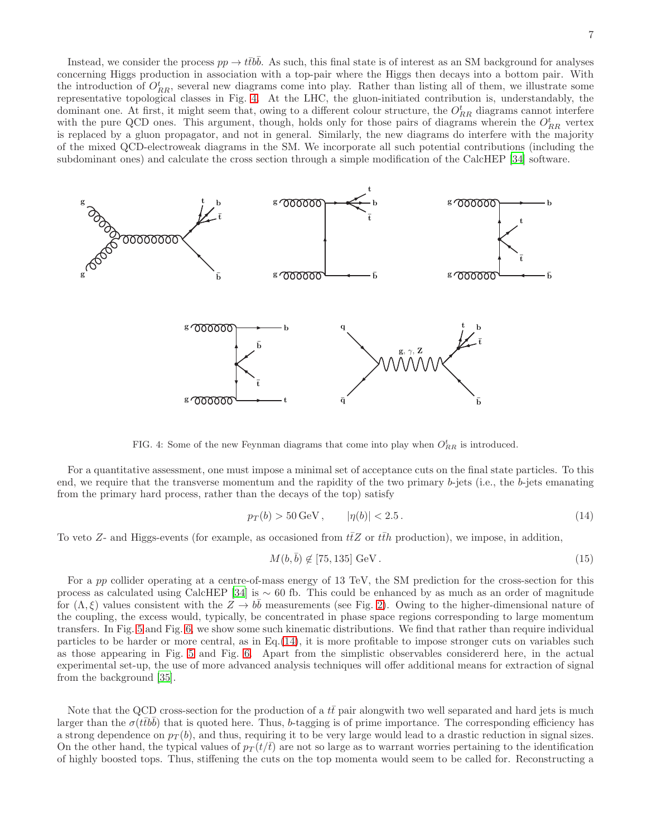Instead, we consider the process  $pp \to t\bar{t}b\bar{b}$ . As such, this final state is of interest as an SM background for analyses concerning Higgs production in association with a top-pair where the Higgs then decays into a bottom pair. With the introduction of  $O_{RR}^t$ , several new diagrams come into play. Rather than listing all of them, we illustrate some representative topological classes in Fig. [4.](#page-6-0) At the LHC, the gluon-initiated contribution is, understandably, the dominant one. At first, it might seem that, owing to a different colour structure, the  $O_{RR}^t$  diagrams cannot interfere with the pure QCD ones. This argument, though, holds only for those pairs of diagrams wherein the  $O_{RR}^{t}$  vertex is replaced by a gluon propagator, and not in general. Similarly, the new diagrams do interfere with the majority of the mixed QCD-electroweak diagrams in the SM. We incorporate all such potential contributions (including the subdominant ones) and calculate the cross section through a simple modification of the CalcHEP [\[34\]](#page-10-25) software.



<span id="page-6-0"></span>FIG. 4: Some of the new Feynman diagrams that come into play when  $O_{RR}^{t}$  is introduced.

For a quantitative assessment, one must impose a minimal set of acceptance cuts on the final state particles. To this end, we require that the transverse momentum and the rapidity of the two primary  $b$ -jets (i.e., the  $b$ -jets emanating from the primary hard process, rather than the decays of the top) satisfy

<span id="page-6-1"></span>
$$
p_T(b) > 50 \,\text{GeV}, \qquad |\eta(b)| < 2.5 \,. \tag{14}
$$

To veto Z- and Higgs-events (for example, as occasioned from  $t\bar{t}Z$  or  $t\bar{t}h$  production), we impose, in addition,

<span id="page-6-2"></span>
$$
M(b,\bar{b}) \not\in [75,135] \text{ GeV}. \tag{15}
$$

For a pp collider operating at a centre-of-mass energy of 13 TeV, the SM prediction for the cross-section for this process as calculated using CalcHEP [\[34\]](#page-10-25) is  $\sim 60$  fb. This could be enhanced by as much as an order of magnitude for  $(\Lambda, \xi)$  values consistent with the  $Z \to b\bar{b}$  measurements (see Fig. [2\)](#page-4-0). Owing to the higher-dimensional nature of the coupling, the excess would, typically, be concentrated in phase space regions corresponding to large momentum transfers. In Fig. [5](#page-7-0) and Fig. [6,](#page-7-1) we show some such kinematic distributions. We find that rather than require individual particles to be harder or more central, as in Eq.[\(14\)](#page-6-1), it is more profitable to impose stronger cuts on variables such as those appearing in Fig. [5](#page-7-0) and Fig. [6.](#page-7-1) Apart from the simplistic observables considererd here, in the actual experimental set-up, the use of more advanced analysis techniques will offer additional means for extraction of signal from the background [\[35](#page-11-0)].

Note that the QCD cross-section for the production of a  $t\bar{t}$  pair alongwith two well separated and hard jets is much larger than the  $\sigma(t\bar{t}b\bar{b})$  that is quoted here. Thus, b-tagging is of prime importance. The corresponding efficiency has a strong dependence on  $p<sub>T</sub>(b)$ , and thus, requiring it to be very large would lead to a drastic reduction in signal sizes. On the other hand, the typical values of  $p_T(t/t)$  are not so large as to warrant worries pertaining to the identification of highly boosted tops. Thus, stiffening the cuts on the top momenta would seem to be called for. Reconstructing a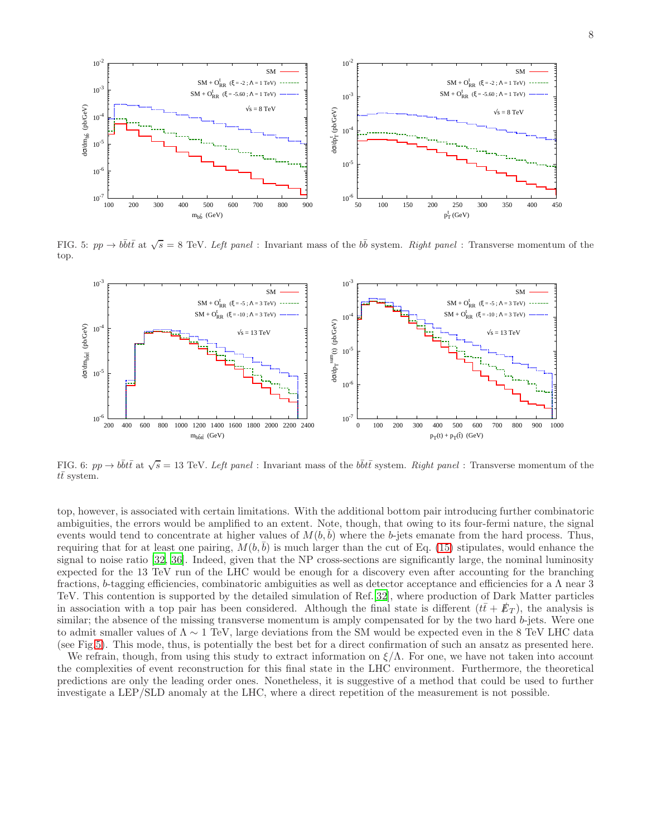

FIG. 5:  $pp \to b\bar{b}t\bar{t}$  at  $\sqrt{s} = 8$  TeV. Left panel : Invariant mass of the  $b\bar{b}$  system. Right panel : Transverse momentum of the top.

<span id="page-7-0"></span>

<span id="page-7-1"></span>FIG. 6:  $pp \to b\bar{b}t\bar{t}$  at  $\sqrt{s} = 13$  TeV. Left panel : Invariant mass of the  $b\bar{b}t\bar{t}$  system. Right panel : Transverse momentum of the  $t\bar{t}$  system.

top, however, is associated with certain limitations. With the additional bottom pair introducing further combinatoric ambiguities, the errors would be amplified to an extent. Note, though, that owing to its four-fermi nature, the signal events would tend to concentrate at higher values of  $M(b, b)$  where the b-jets emanate from the hard process. Thus, requiring that for at least one pairing,  $M(b, \bar{b})$  is much larger than the cut of Eq. [\(15\)](#page-6-2) stipulates, would enhance the signal to noise ratio [\[32](#page-10-24), [36](#page-11-1)]. Indeed, given that the NP cross-sections are significantly large, the nominal luminosity expected for the 13 TeV run of the LHC would be enough for a discovery even after accounting for the branching fractions, b-tagging efficiencies, combinatoric ambiguities as well as detector acceptance and efficiencies for a Λ near 3 TeV. This contention is supported by the detailed simulation of Ref.[\[32\]](#page-10-24), where production of Dark Matter particles in association with a top pair has been considered. Although the final state is different  $(t\bar{t} + \mathbb{F}_T)$ , the analysis is similar; the absence of the missing transverse momentum is amply compensated for by the two hard b-jets. Were one to admit smaller values of  $\Lambda \sim 1$  TeV, large deviations from the SM would be expected even in the 8 TeV LHC data (see Fig[.5\)](#page-7-0). This mode, thus, is potentially the best bet for a direct confirmation of such an ansatz as presented here.

We refrain, though, from using this study to extract information on  $\xi/\Lambda$ . For one, we have not taken into account the complexities of event reconstruction for this final state in the LHC environment. Furthermore, the theoretical predictions are only the leading order ones. Nonetheless, it is suggestive of a method that could be used to further investigate a LEP/SLD anomaly at the LHC, where a direct repetition of the measurement is not possible.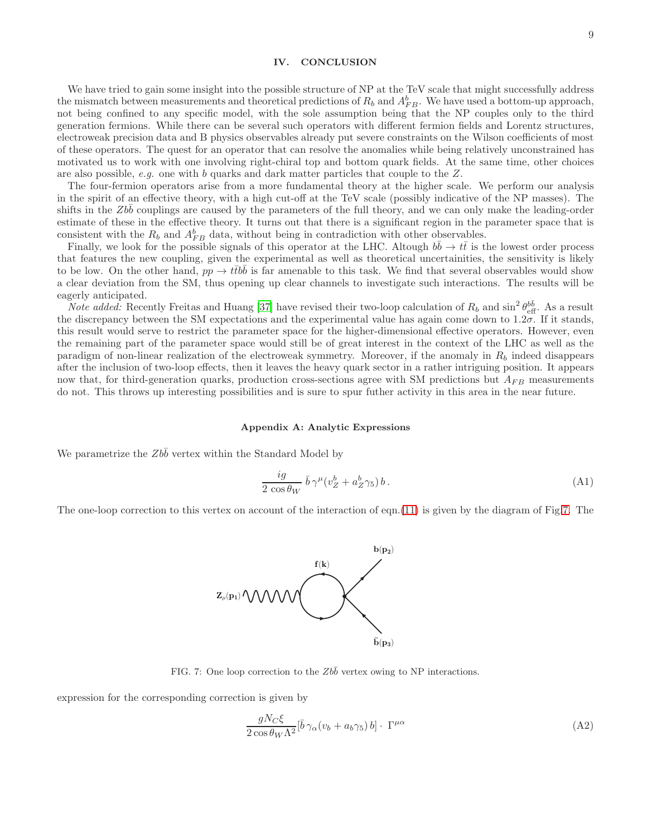### IV. CONCLUSION

We have tried to gain some insight into the possible structure of NP at the TeV scale that might successfully address the mismatch between measurements and theoretical predictions of  $R_b$  and  $A_{FB}^b$ . We have used a bottom-up approach, not being confined to any specific model, with the sole assumption being that the NP couples only to the third generation fermions. While there can be several such operators with different fermion fields and Lorentz structures, electroweak precision data and B physics observables already put severe constraints on the Wilson coefficients of most of these operators. The quest for an operator that can resolve the anomalies while being relatively unconstrained has motivated us to work with one involving right-chiral top and bottom quark fields. At the same time, other choices are also possible, *e.g.* one with b quarks and dark matter particles that couple to the Z.

The four-fermion operators arise from a more fundamental theory at the higher scale. We perform our analysis in the spirit of an effective theory, with a high cut-off at the TeV scale (possibly indicative of the NP masses). The shifts in the Zbb couplings are caused by the parameters of the full theory, and we can only make the leading-order estimate of these in the effective theory. It turns out that there is a significant region in the parameter space that is consistent with the  $R_b$  and  $A_{FB}^b$  data, without being in contradiction with other observables.

Finally, we look for the possible signals of this operator at the LHC. Altough  $b\bar{b} \to t\bar{t}$  is the lowest order process that features the new coupling, given the experimental as well as theoretical uncertainities, the sensitivity is likely to be low. On the other hand,  $pp \to ttbb$  is far amenable to this task. We find that several observables would show a clear deviation from the SM, thus opening up clear channels to investigate such interactions. The results will be eagerly anticipated.

*Note added:* Recently Freitas and Huang [\[37\]](#page-11-2) have revised their two-loop calculation of  $R_b$  and  $\sin^2 \theta_{\text{eff}}^{b\bar{b}}$ . As a result the discrepancy between the SM expectations and the experimental value has again come down to 1.2σ. If it stands, this result would serve to restrict the parameter space for the higher-dimensional effective operators. However, even the remaining part of the parameter space would still be of great interest in the context of the LHC as well as the paradigm of non-linear realization of the electroweak symmetry. Moreover, if the anomaly in  $R_b$  indeed disappears after the inclusion of two-loop effects, then it leaves the heavy quark sector in a rather intriguing position. It appears now that, for third-generation quarks, production cross-sections agree with SM predictions but  $A_{FB}$  measurements do not. This throws up interesting possibilities and is sure to spur futher activity in this area in the near future.

#### Appendix A: Analytic Expressions

We parametrize the  $Zb\bar{b}$  vertex within the Standard Model by

$$
\frac{ig}{2\cos\theta_W} \bar{b}\,\gamma^\mu(v_Z^b + a_Z^b \gamma_5) b\,. \tag{A1}
$$

The one-loop correction to this vertex on account of the interaction of eqn.[\(11\)](#page-2-1) is given by the diagram of Fig[.7.](#page-8-0) The



<span id="page-8-0"></span>FIG. 7: One loop correction to the  $Zb\bar{b}$  vertex owing to NP interactions.

expression for the corresponding correction is given by

$$
\frac{gN_C\xi}{2\cos\theta_W\Lambda^2}[\bar{b}\gamma_\alpha(v_b + a_b\gamma_5) b] \cdot \Gamma^{\mu\alpha} \tag{A2}
$$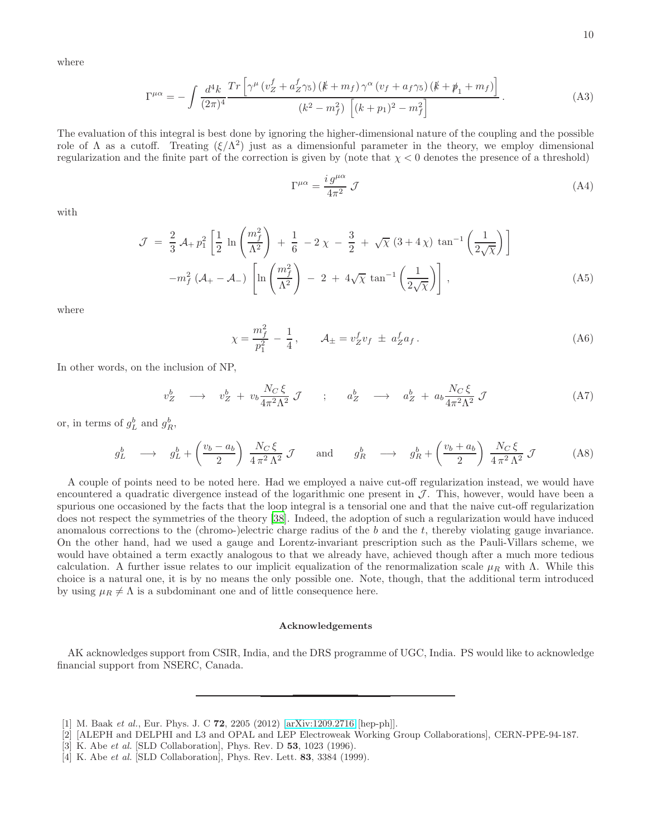where

$$
\Gamma^{\mu\alpha} = -\int \frac{d^4k}{(2\pi)^4} \frac{Tr\left[\gamma^{\mu} \left(v_Z^f + a_Z^f \gamma_5\right) \left(\frac{k}{m} + m_f\right) \gamma^{\alpha} \left(v_f + a_f \gamma_5\right) \left(\frac{k}{m} + \frac{m}{m} + m_f\right)\right]}{(k^2 - m_f^2) \left[ (k + p_1)^2 - m_f^2 \right]}.
$$
\n(A3)

The evaluation of this integral is best done by ignoring the higher-dimensional nature of the coupling and the possible role of  $\Lambda$  as a cutoff. Treating  $(\xi/\Lambda^2)$  just as a dimensionful parameter in the theory, we employ dimensional regularization and the finite part of the correction is given by (note that  $\chi < 0$  denotes the presence of a threshold)

$$
\Gamma^{\mu\alpha} = \frac{i \, g^{\mu\alpha}}{4\pi^2} \, \mathcal{J} \tag{A4}
$$

with

$$
\mathcal{J} = \frac{2}{3} \mathcal{A}_{+} p_{1}^{2} \left[ \frac{1}{2} \ln \left( \frac{m_{f}^{2}}{\Lambda^{2}} \right) + \frac{1}{6} - 2 \chi - \frac{3}{2} + \sqrt{\chi} \left( 3 + 4 \chi \right) \tan^{-1} \left( \frac{1}{2 \sqrt{\chi}} \right) \right]
$$

$$
-m_{f}^{2} \left( \mathcal{A}_{+} - \mathcal{A}_{-} \right) \left[ \ln \left( \frac{m_{f}^{2}}{\Lambda^{2}} \right) - 2 + 4 \sqrt{\chi} \tan^{-1} \left( \frac{1}{2 \sqrt{\chi}} \right) \right], \tag{A5}
$$

where

$$
\chi = \frac{m_f^2}{p_1^2} - \frac{1}{4}, \qquad \mathcal{A}_{\pm} = v_Z^f v_f \pm a_Z^f a_f. \tag{A6}
$$

In other words, on the inclusion of NP,

$$
v_Z^b \longrightarrow v_Z^b + v_b \frac{N_C \xi}{4\pi^2 \Lambda^2} \mathcal{J} \qquad ; \qquad a_Z^b \longrightarrow a_Z^b + a_b \frac{N_C \xi}{4\pi^2 \Lambda^2} \mathcal{J} \tag{A7}
$$

or, in terms of  $g_L^b$  and  $g_R^b$ ,

$$
g_L^b \longrightarrow g_L^b + \left(\frac{v_b - a_b}{2}\right) \frac{N_C \xi}{4 \pi^2 \Lambda^2} \mathcal{J} \quad \text{and} \quad g_R^b \longrightarrow g_R^b + \left(\frac{v_b + a_b}{2}\right) \frac{N_C \xi}{4 \pi^2 \Lambda^2} \mathcal{J} \tag{A8}
$$

A couple of points need to be noted here. Had we employed a naive cut-off regularization instead, we would have encountered a quadratic divergence instead of the logarithmic one present in  $\mathcal{J}$ . This, however, would have been a spurious one occasioned by the facts that the loop integral is a tensorial one and that the naive cut-off regularization does not respect the symmetries of the theory [\[38\]](#page-11-3). Indeed, the adoption of such a regularization would have induced anomalous corrections to the (chromo-)electric charge radius of the b and the  $t$ , thereby violating gauge invariance. On the other hand, had we used a gauge and Lorentz-invariant prescription such as the Pauli-Villars scheme, we would have obtained a term exactly analogous to that we already have, achieved though after a much more tedious calculation. A further issue relates to our implicit equalization of the renormalization scale  $\mu_R$  with  $\Lambda$ . While this choice is a natural one, it is by no means the only possible one. Note, though, that the additional term introduced by using  $\mu_R \neq \Lambda$  is a subdominant one and of little consequence here.

### Acknowledgements

AK acknowledges support from CSIR, India, and the DRS programme of UGC, India. PS would like to acknowledge financial support from NSERC, Canada.

- <span id="page-9-0"></span>[1] M. Baak et al., Eur. Phys. J. C 72, 2205 (2012) [\[arXiv:1209.2716](http://arxiv.org/abs/1209.2716) [hep-ph]].
- <span id="page-9-1"></span>[2] [ALEPH and DELPHI and L3 and OPAL and LEP Electroweak Working Group Collaborations], CERN-PPE-94-187.
- [3] K. Abe *et al.* [SLD Collaboration], Phys. Rev. D **53**, 1023 (1996).
- [4] K. Abe *et al.* [SLD Collaboration], Phys. Rev. Lett. **83**, 3384 (1999).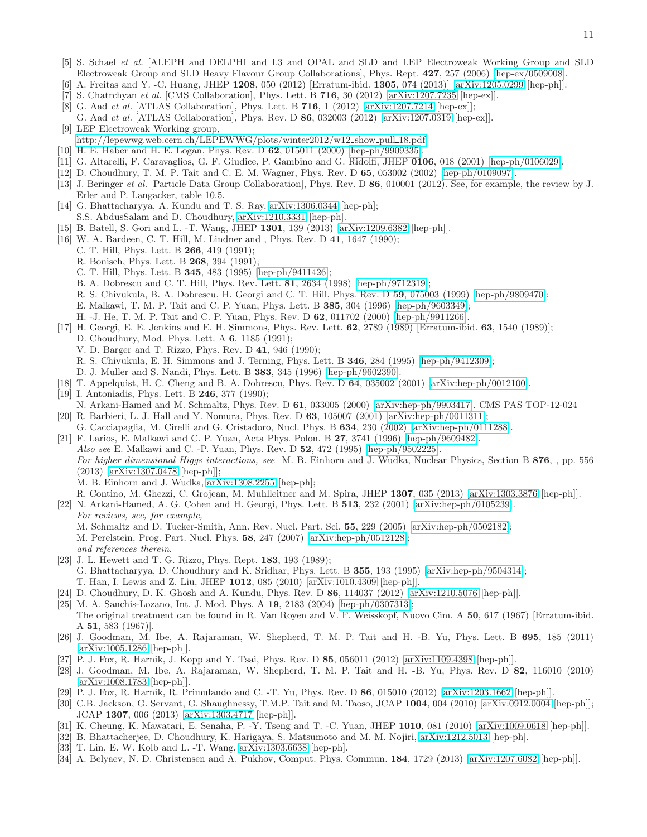- <span id="page-10-0"></span>[5] S. Schael et al. [ALEPH and DELPHI and L3 and OPAL and SLD and LEP Electroweak Working Group and SLD Electroweak Group and SLD Heavy Flavour Group Collaborations], Phys. Rept. 427, 257 (2006) [\[hep-ex/0509008\]](http://arxiv.org/abs/hep-ex/0509008).
- <span id="page-10-1"></span>[6] A. Freitas and Y. -C. Huang, JHEP 1208, 050 (2012) [Erratum-ibid. 1305, 074 (2013)] [\[arXiv:1205.0299](http://arxiv.org/abs/1205.0299) [hep-ph]].
- <span id="page-10-2"></span>[7] S. Chatrchyan et al. [CMS Collaboration], Phys. Lett. B  $716$ , 30 (2012) [\[arXiv:1207.7235](http://arxiv.org/abs/1207.7235) [hep-ex]].
- <span id="page-10-3"></span>[8] G. Aad et al. [ATLAS Collaboration], Phys. Lett. B 716, 1 (2012) [\[arXiv:1207.7214](http://arxiv.org/abs/1207.7214) [hep-ex]]; G. Aad et al. [ATLAS Collaboration], Phys. Rev. D 86, 032003 (2012) [\[arXiv:1207.0319](http://arxiv.org/abs/1207.0319) [hep-ex]].
- <span id="page-10-4"></span>[9] LEP Electroweak Working group, [http://lepewwg.web.cern.ch/LEPEWWG/plots/winter2012/w12](http://lepewwg.web.cern.ch/LEPEWWG/plots/winter2012/w12_show_pull_18.pdf) show pull 18.pdf
- <span id="page-10-5"></span>[10] H. E. Haber and H. E. Logan, Phys. Rev. D 62, 015011 (2000) [\[hep-ph/9909335\]](http://arxiv.org/abs/hep-ph/9909335).
- <span id="page-10-6"></span>[11] G. Altarelli, F. Caravaglios, G. F. Giudice, P. Gambino and G. Ridolfi, JHEP 0106, 018 (2001) [\[hep-ph/0106029\]](http://arxiv.org/abs/hep-ph/0106029).
- <span id="page-10-8"></span>[12] D. Choudhury, T. M. P. Tait and C. E. M. Wagner, Phys. Rev. D 65, 053002 (2002) [\[hep-ph/0109097\]](http://arxiv.org/abs/hep-ph/0109097).
- <span id="page-10-7"></span>[13] J. Beringer et al. [Particle Data Group Collaboration], Phys. Rev. D 86, 010001 (2012). See, for example, the review by J. Erler and P. Langacker, table 10.5.
- <span id="page-10-10"></span>[14] G. Bhattacharyya, A. Kundu and T. S. Ray, [arXiv:1306.0344](http://arxiv.org/abs/1306.0344) [hep-ph]; S.S. AbdusSalam and D. Choudhury, [arXiv:1210.3331](http://arxiv.org/abs/1210.3331) [hep-ph].
- <span id="page-10-9"></span>[15] B. Batell, S. Gori and L. -T. Wang, JHEP 1301, 139 (2013) [\[arXiv:1209.6382](http://arxiv.org/abs/1209.6382) [hep-ph]].
- <span id="page-10-11"></span>[16] W. A. Bardeen, C. T. Hill, M. Lindner and , Phys. Rev. D 41, 1647 (1990);
	- C. T. Hill, Phys. Lett. B 266, 419 (1991);
	- R. Bonisch, Phys. Lett. B 268, 394 (1991);
	- C. T. Hill, Phys. Lett. B 345, 483 (1995) [\[hep-ph/9411426\]](http://arxiv.org/abs/hep-ph/9411426);
	- B. A. Dobrescu and C. T. Hill, Phys. Rev. Lett. 81, 2634 (1998) [\[hep-ph/9712319\]](http://arxiv.org/abs/hep-ph/9712319);
	- R. S. Chivukula, B. A. Dobrescu, H. Georgi and C. T. Hill, Phys. Rev. D 59, 075003 (1999) [\[hep-ph/9809470\]](http://arxiv.org/abs/hep-ph/9809470);
	- E. Malkawi, T. M. P. Tait and C. P. Yuan, Phys. Lett. B 385, 304 (1996) [\[hep-ph/9603349\]](http://arxiv.org/abs/hep-ph/9603349);
	- H. -J. He, T. M. P. Tait and C. P. Yuan, Phys. Rev. D 62, 011702 (2000) [\[hep-ph/9911266\]](http://arxiv.org/abs/hep-ph/9911266).
- <span id="page-10-12"></span>[17] H. Georgi, E. E. Jenkins and E. H. Simmons, Phys. Rev. Lett. 62, 2789 (1989) [Erratum-ibid. 63, 1540 (1989)]; D. Choudhury, Mod. Phys. Lett. A 6, 1185 (1991);
	- V. D. Barger and T. Rizzo, Phys. Rev. D 41, 946 (1990);
	- R. S. Chivukula, E. H. Simmons and J. Terning, Phys. Lett. B 346, 284 (1995) [\[hep-ph/9412309\]](http://arxiv.org/abs/hep-ph/9412309);
	- D. J. Muller and S. Nandi, Phys. Lett. B 383, 345 (1996) [\[hep-ph/9602390\]](http://arxiv.org/abs/hep-ph/9602390).
- <span id="page-10-13"></span>[18] T. Appelquist, H. C. Cheng and B. A. Dobrescu, Phys. Rev. D 64, 035002 (2001) [\[arXiv:hep-ph/0012100\]](http://arxiv.org/abs/hep-ph/0012100).
- [19] I. Antoniadis, Phys. Lett. B **246**, 377 (1990);
- N. Arkani-Hamed and M. Schmaltz, Phys. Rev. D 61, 033005 (2000) [\[arXiv:hep-ph/9903417\]](http://arxiv.org/abs/hep-ph/9903417). CMS PAS TOP-12-024 [20] R. Barbieri, L. J. Hall and Y. Nomura, Phys. Rev. D 63, 105007 (2001) [\[arXiv:hep-ph/0011311\]](http://arxiv.org/abs/hep-ph/0011311);
- <span id="page-10-14"></span>G. Cacciapaglia, M. Cirelli and G. Cristadoro, Nucl. Phys. B 634, 230 (2002) [\[arXiv:hep-ph/0111288\]](http://arxiv.org/abs/hep-ph/0111288).
- <span id="page-10-15"></span>[21] F. Larios, E. Malkawi and C. P. Yuan, Acta Phys. Polon. B 27, 3741 (1996) [\[hep-ph/9609482\]](http://arxiv.org/abs/hep-ph/9609482). Also see E. Malkawi and C. -P. Yuan, Phys. Rev. D 52, 472 (1995) [\[hep-ph/9502225\]](http://arxiv.org/abs/hep-ph/9502225). For higher dimensional Higgs interactions, see M. B. Einhorn and J. Wudka, Nuclear Physics, Section B 876, , pp. 556 (2013) [\[arXiv:1307.0478](http://arxiv.org/abs/1307.0478) [hep-ph]]; M. B. Einhorn and J. Wudka, [arXiv:1308.2255](http://arxiv.org/abs/1308.2255) [hep-ph];
	- R. Contino, M. Ghezzi, C. Grojean, M. Muhlleitner and M. Spira, JHEP 1307, 035 (2013) [\[arXiv:1303.3876](http://arxiv.org/abs/1303.3876) [hep-ph]].
- <span id="page-10-16"></span>[22] N. Arkani-Hamed, A. G. Cohen and H. Georgi, Phys. Lett. B 513, 232 (2001) [\[arXiv:hep-ph/0105239\]](http://arxiv.org/abs/hep-ph/0105239). For reviews, see, for example, M. Schmaltz and D. Tucker-Smith, Ann. Rev. Nucl. Part. Sci. 55, 229 (2005) [\[arXiv:hep-ph/0502182\]](http://arxiv.org/abs/hep-ph/0502182); M. Perelstein, Prog. Part. Nucl. Phys. 58, 247 (2007) [\[arXiv:hep-ph/0512128\]](http://arxiv.org/abs/hep-ph/0512128);
	- and references therein.
- <span id="page-10-17"></span>[23] J. L. Hewett and T. G. Rizzo, Phys. Rept. 183, 193 (1989); G. Bhattacharyya, D. Choudhury and K. Sridhar, Phys. Lett. B 355, 193 (1995) [\[arXiv:hep-ph/9504314\]](http://arxiv.org/abs/hep-ph/9504314); T. Han, I. Lewis and Z. Liu, JHEP 1012, 085 (2010) [\[arXiv:1010.4309](http://arxiv.org/abs/1010.4309) [hep-ph]].
- <span id="page-10-18"></span>[24] D. Choudhury, D. K. Ghosh and A. Kundu, Phys. Rev. D 86, 114037 (2012) [\[arXiv:1210.5076](http://arxiv.org/abs/1210.5076) [hep-ph]].
- <span id="page-10-19"></span>[25] M. A. Sanchis-Lozano, Int. J. Mod. Phys. A 19, 2183 (2004) [\[hep-ph/0307313\]](http://arxiv.org/abs/hep-ph/0307313);
- The original treatment can be found in R. Van Royen and V. F. Weisskopf, Nuovo Cim. A 50, 617 (1967) [Erratum-ibid. A 51, 583 (1967)].
- <span id="page-10-20"></span>[26] J. Goodman, M. Ibe, A. Rajaraman, W. Shepherd, T. M. P. Tait and H. -B. Yu, Phys. Lett. B 695, 185 (2011) [\[arXiv:1005.1286](http://arxiv.org/abs/1005.1286) [hep-ph]].
- [27] P. J. Fox, R. Harnik, J. Kopp and Y. Tsai, Phys. Rev. D 85, 056011 (2012) [\[arXiv:1109.4398](http://arxiv.org/abs/1109.4398) [hep-ph]].
- [28] J. Goodman, M. Ibe, A. Rajaraman, W. Shepherd, T. M. P. Tait and H. -B. Yu, Phys. Rev. D 82, 116010 (2010) [\[arXiv:1008.1783](http://arxiv.org/abs/1008.1783) [hep-ph]].
- <span id="page-10-21"></span>[29] P. J. Fox, R. Harnik, R. Primulando and C. -T. Yu, Phys. Rev. D 86, 015010 (2012) [\[arXiv:1203.1662](http://arxiv.org/abs/1203.1662) [hep-ph]].
- <span id="page-10-22"></span>[30] C.B. Jackson, G. Servant, G. Shaughnessy, T.M.P. Tait and M. Taoso, JCAP 1004, 004 (2010) [\[arXiv:0912.0004](http://arxiv.org/abs/0912.0004) [hep-ph]]; JCAP 1307, 006 (2013) [\[arXiv:1303.4717](http://arxiv.org/abs/1303.4717) [hep-ph]].
- [31] K. Cheung, K. Mawatari, E. Senaha, P. -Y. Tseng and T. -C. Yuan, JHEP 1010, 081 (2010) [\[arXiv:1009.0618](http://arxiv.org/abs/1009.0618) [hep-ph]].
- <span id="page-10-24"></span>[32] B. Bhattacherjee, D. Choudhury, K. Harigaya, S. Matsumoto and M. M. Nojiri, [arXiv:1212.5013](http://arxiv.org/abs/1212.5013) [hep-ph].
- <span id="page-10-23"></span>[33] T. Lin, E. W. Kolb and L. -T. Wang, [arXiv:1303.6638](http://arxiv.org/abs/1303.6638) [hep-ph].
- <span id="page-10-25"></span>[34] A. Belyaev, N. D. Christensen and A. Pukhov, Comput. Phys. Commun. 184, 1729 (2013) [\[arXiv:1207.6082](http://arxiv.org/abs/1207.6082) [hep-ph]].